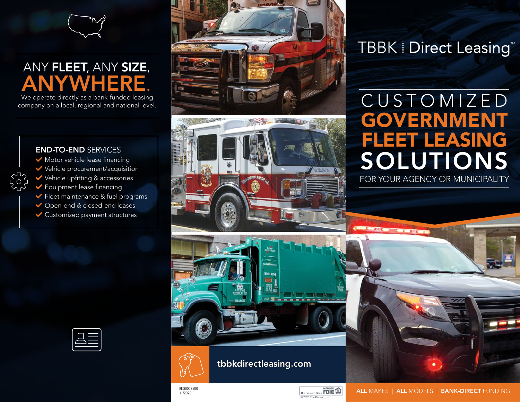

# ANY FLEET, ANY SIZE, ANYWHERE.

We operate directly as a bank-funded leasing company on a local, regional and national level.





# **TBBK | Direct Leasing**

# SOLUTIONS GOVERNMENT FLEET LEASING CUSTOMIZED

FOR YOUR AGENCY OR MUNICIPALITY

#### END-TO-END SERVICES

- $\blacktriangleright$  Motor vehicle lease financing
- $\blacktriangleright$  Vehicle procurement/acquisition
- $\blacktriangleright$  Vehicle upfitting & accessories
- $\blacktriangleright$  Equipment lease financing
- $\blacktriangleright$  Fleet maintenance & fuel programs
- ◆ Open-end & closed-end leases
- $\blacktriangleright$  Customized payment structures





REQ0002500 11/2020